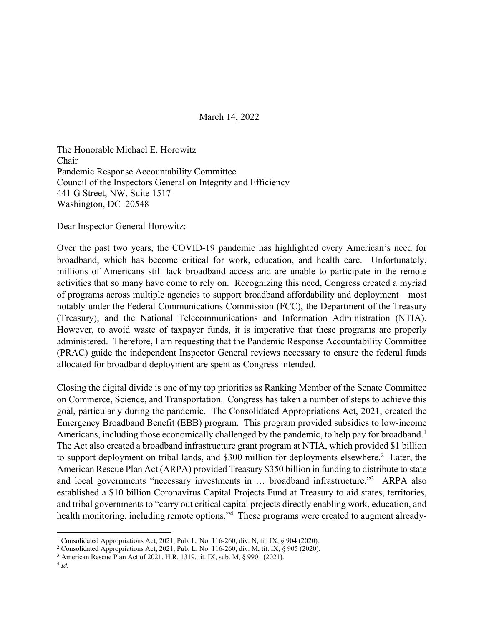## March 14, 2022

The Honorable Michael E. Horowitz Chair Pandemic Response Accountability Committee Council of the Inspectors General on Integrity and Efficiency 441 G Street, NW, Suite 1517 Washington, DC 20548

Dear Inspector General Horowitz:

Over the past two years, the COVID-19 pandemic has highlighted every American's need for broadband, which has become critical for work, education, and health care. Unfortunately, millions of Americans still lack broadband access and are unable to participate in the remote activities that so many have come to rely on. Recognizing this need, Congress created a myriad of programs across multiple agencies to support broadband affordability and deployment—most notably under the Federal Communications Commission (FCC), the Department of the Treasury (Treasury), and the National Telecommunications and Information Administration (NTIA). However, to avoid waste of taxpayer funds, it is imperative that these programs are properly administered. Therefore, I am requesting that the Pandemic Response Accountability Committee (PRAC) guide the independent Inspector General reviews necessary to ensure the federal funds allocated for broadband deployment are spent as Congress intended.

Closing the digital divide is one of my top priorities as Ranking Member of the Senate Committee on Commerce, Science, and Transportation. Congress has taken a number of steps to achieve this goal, particularly during the pandemic. The Consolidated Appropriations Act, 2021, created the Emergency Broadband Benefit (EBB) program. This program provided subsidies to low-income Americans, including those economically challenged by the pandemic, to help pay for broadband.<sup>1</sup> The Act also created a broadband infrastructure grant program at NTIA, which provided \$1 billion to support deployment on tribal lands, and \$300 million for deployments elsewhere.<sup>2</sup> Later, the American Rescue Plan Act (ARPA) provided Treasury \$350 billion in funding to distribute to state and local governments "necessary investments in … broadband infrastructure."3 ARPA also established a \$10 billion Coronavirus Capital Projects Fund at Treasury to aid states, territories, and tribal governments to "carry out critical capital projects directly enabling work, education, and health monitoring, including remote options."<sup>4</sup> These programs were created to augment already-

<sup>1</sup> Consolidated Appropriations Act, 2021, Pub. L. No. 116-260, div. N, tit. IX, § 904 (2020).

<sup>2</sup> Consolidated Appropriations Act, 2021, Pub. L. No. 116-260, div. M, tit. IX, § 905 (2020).

<sup>3</sup> American Rescue Plan Act of 2021, H.R. 1319, tit. IX, sub. M, § 9901 (2021).

<sup>4</sup> *Id.*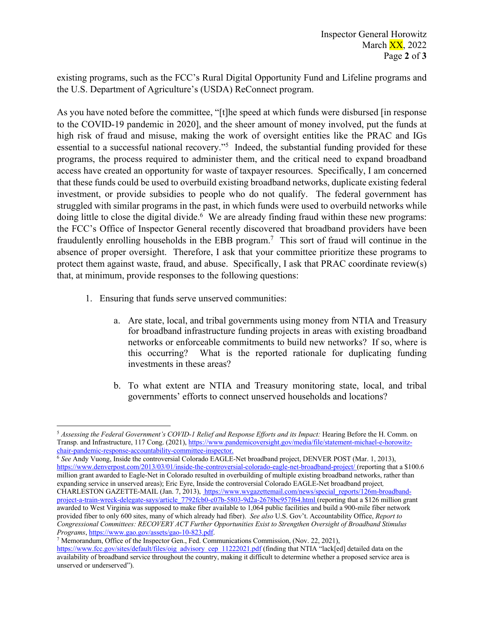existing programs, such as the FCC's Rural Digital Opportunity Fund and Lifeline programs and the U.S. Department of Agriculture's (USDA) ReConnect program.

As you have noted before the committee, "[t]he speed at which funds were disbursed [in response to the COVID-19 pandemic in 2020], and the sheer amount of money involved, put the funds at high risk of fraud and misuse, making the work of oversight entities like the PRAC and IGs essential to a successful national recovery."5 Indeed, the substantial funding provided for these programs, the process required to administer them, and the critical need to expand broadband access have created an opportunity for waste of taxpayer resources. Specifically, I am concerned that these funds could be used to overbuild existing broadband networks, duplicate existing federal investment, or provide subsidies to people who do not qualify. The federal government has struggled with similar programs in the past, in which funds were used to overbuild networks while doing little to close the digital divide.<sup>6</sup> We are already finding fraud within these new programs: the FCC's Office of Inspector General recently discovered that broadband providers have been fraudulently enrolling households in the EBB program.7 This sort of fraud will continue in the absence of proper oversight. Therefore, I ask that your committee prioritize these programs to protect them against waste, fraud, and abuse. Specifically, I ask that PRAC coordinate review(s) that, at minimum, provide responses to the following questions:

- 1. Ensuring that funds serve unserved communities:
	- a. Are state, local, and tribal governments using money from NTIA and Treasury for broadband infrastructure funding projects in areas with existing broadband networks or enforceable commitments to build new networks? If so, where is this occurring? What is the reported rationale for duplicating funding investments in these areas?
	- b. To what extent are NTIA and Treasury monitoring state, local, and tribal governments' efforts to connect unserved households and locations?

<sup>6</sup> *See* Andy Vuong, Inside the controversial Colorado EAGLE-Net broadband project, DENVER POST (Mar. 1, 2013), https://www.denverpost.com/2013/03/01/inside-the-controversial-colorado-eagle-net-broadband-project/ (reporting that a \$100.6 million grant awarded to Eagle-Net in Colorado resulted in overbuilding of multiple existing broadband networks, rather than expanding service in unserved areas); Eric Eyre, Inside the controversial Colorado EAGLE-Net broadband project*,* CHARLESTON GAZETTE-MAIL (Jan. 7, 2013), https://www.wvgazettemail.com/news/special\_reports/126m-broadbandproject-a-train-wreck-delegate-says/article\_7792fcb0-c07b-5803-9d2a-2678bc957f64.html (reporting that a \$126 million grant awarded to West Virginia was supposed to make fiber available to 1,064 public facilities and build a 900-mile fiber network provided fiber to only 600 sites, many of which already had fiber). *See also* U.S. Gov't. Accountability Office, *Report to Congressional Committees: RECOVERY ACT Further Opportunities Exist to Strengthen Oversight of Broadband Stimulus Programs*, https://www.gao.gov/assets/gao-10-823.pdf.

<sup>5</sup> *Assessing the Federal Government's COVID-1 Relief and Response Efforts and its Impact:* Hearing Before the H. Comm. on Transp. and Infrastructure, 117 Cong. (2021), https://www.pandemicoversight.gov/media/file/statement-michael-e-horowitzchair-pandemic-response-accountability-committee-inspector.

<sup>7</sup> Memorandum, Office of the Inspector Gen., Fed. Communications Commission, (Nov. 22, 2021),

https://www.fcc.gov/sites/default/files/oig\_advisory\_cep\_11222021.pdf (finding that NTIA "lack[ed] detailed data on the availability of broadband service throughout the country, making it difficult to determine whether a proposed service area is unserved or underserved").